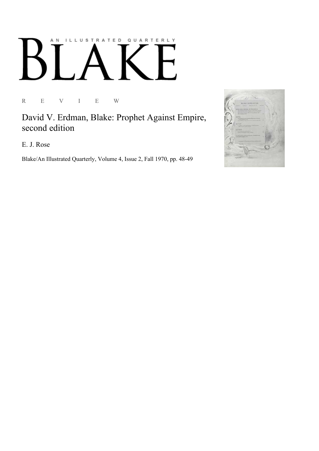## ILLUSTRATED QUARTERLY A N

R E V I E W

David V. Erdman, Blake: Prophet Against Empire, second edition

E. J. Rose

Blake/An Illustrated Quarterly, Volume 4, Issue 2, Fall 1970, pp. 48-49

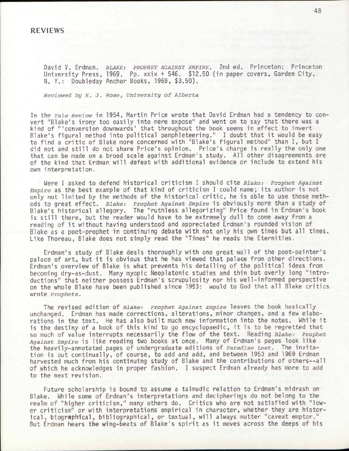David V. Erdman. *BLAKE; PROPHET AGAINST EMPIRE.* 2nd ed. Princeton; Princeton University Press, 1969. Pp. xxix + 546. \$12.50 (in paper covers, Garden City, N. Y.: Doubleday Anchor Books, 1969, \$3.50).

*Reviewed by E. J. Rose, University of Alberta* 

In the *Yale Review* in 1954, Martin Price wrote that David Erdman had a tendency to convert "Blake's irony too easily into mere expose" and went on to say that there was a kind of '"conversion downwards' that throughout the book seems in effect to invert Blake's figural method into political pamphleteering." I doubt that it would be easy to find a critic of Blake more concerned with "Blake's figural method" than I, but I did not and still do not share Price's opinion. Price's charge is really the only one that can be made on a broad scale against Erdman's study. All other disagreements are of the kind that Erdman will defeat with additional evidence or include to extend his own interpretation.

Were I asked to defend historical criticism I should cite *Blake: Prophet Against Empire* as the best example of that kind of criticism I could name; its author is not only not limited by the methods of the historical critic, he is able to use those methods to great effect. *Blake: Prophet Against Empire* is obviously more than a study of Blake's historical allegory. The "ruthless allegorizing" Price found in Erdman's book is still there, but the reader would have to be extremely dull to come away from a reading of it without having understood and appreciated Erdman's rounded vision of Blake as a poet-prophet in continuing debate with not only his own times but all times. Like Thoreau, Blake does not simply read the "Times" he reads the Eternities.

Erdman's study of Blake deals thoroughly with one great wall of the poet-painter's palace of art, but it is obvious that he has viewed that palace from other directions, Erdman's overview of Blake is what prevents his detailing of the political ideas from becoming dry-as-dust. Many myopic Neoplatonic studies and thin but overly long "introductions" that neither possess Erdman's scrupulosity nor his well-informed perspective on the whole Blake have been published since 1953: would to God that all Blake critics wrote *Prophets.* 

The revised edition of *Blake: Prophet Against Empire* leaves the book basically unchanged. Erdman has made corrections, alterations, minor changes, and a few elaborations in the text. He has also built much new information into the notes. While it is the destiny of a book of this kind to go encyclopaedic, it is to be regretted that so much of value interrupts necessarily the flow of the text. Reading *Blake: Prophet Against Empire* is like reading two books at once. Many of Erdman's pages look like the heavily-annotated pages of undergraduate editions of *Paradise Lost.* The invitation is out continually, of course, to add and add, and between 1953 and 1969 Erdman harvested much from his continuing study of Blake and the contributions of others--all of which he acknowledges in proper fashion. I suspect Erdman already has more to add to the next revision.

Future scholarship is bound to assume a talmudic relation to Erdman's midrash on Blake. While some of Erdman's interpretations and decipherings do not belong to the realm of "higher criticism," many others do. Critics who are not satisfied with "lower criticism" or with interpretations empirical in character, whether they are historical, biographical, bibliographical, or textual, will always mutter "caveat emptor." But Erdman hears the wing-beats of Blake's spirit as it moves across the deeps of his